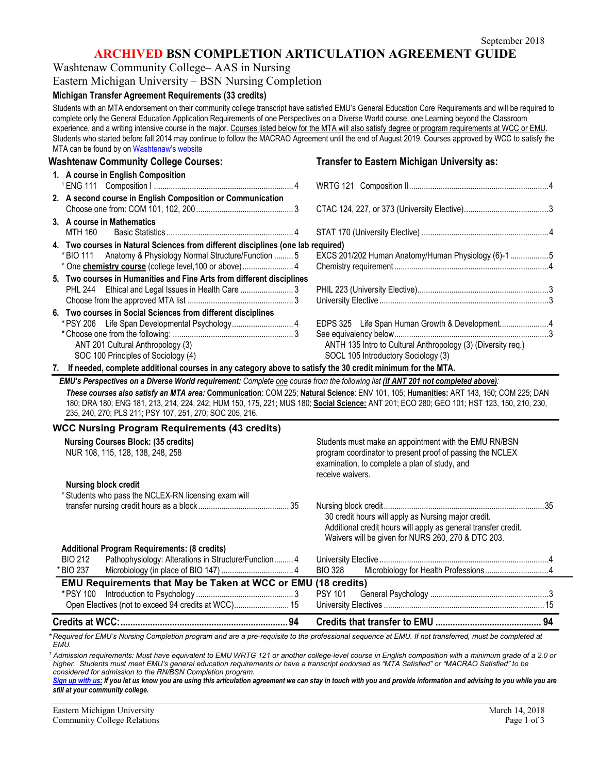## **ARCHIVED BSN COMPLETION ARTICULATION AGREEMENT GUIDE**

Washtenaw Community College– AAS in Nursing

Eastern Michigan University – BSN Nursing Completion

### **Michigan Transfer Agreement Requirements (33 credits)**

Students with an MTA endorsement on their community college transcript have satisfied EMU's General Education Core Requirements and will be required to complete only the General Education Application Requirements of one Perspectives on a Diverse World course, one Learning beyond the Classroom experience, and a writing intensive course in the major. Courses listed below for the MTA will also satisfy degree or program requirements at WCC or EMU. Students who started before fall 2014 may continue to follow the MACRAO Agreement until the end of August 2019. Courses approved by WCC to satisfy the MTA can be found by o[n Washtenaw's website](http://www.wccnet.edu/services/transferresources/mta/)

### **Washtenaw Community College Courses: Transfer to Eastern Michigan University as: 1. A course in English Composition** <sup>1</sup> ENG 111 Composition I .................................................................. 4 WRTG 121 Composition II..................................................................4 **2. A second course in English Composition or Communication** Choose one from: COM 101, 102, 200.............................................. 3 CTAC 124, 227, or 373 (University Elective)........................................3 **3. A course in Mathematics** MTH 160 Basic Statistics ............................................................ 4 STAT 170 (University Elective) ............................................................4 **4. Two courses in Natural Sciences from different disciplines (one lab required)** \*BIO 111 Anatomy & Physiology Normal Structure/Function ......... 5 EXCS 201/202 Human Anatomy/Human Physiology (6)-1 ..................5 \* One **chemistry course** (college level,100 or above)........................ 4 Chemistry requirement .........................................................................4 **5. Two courses in Humanities and Fine Arts from different disciplines**  PHL 244 Ethical and Legal Issues in Health Care ......................... 3 PHIL 223 (University Elective)..............................................................3 Choose from the approved MTA list .................................................. 3 University Elective ................................................................................3 **6. Two courses in Social Sciences from different disciplines** \*PSY 206 Life Span Developmental Psychology............................. 4 EDPS 325 Life Span Human Growth & Development.......................4 \*Choose one from the following: ......................................................... 3 See equivalency below.........................................................................3 ANT 201 Cultural Anthropology (3) <br>
SOC 100 Principles of Sociology (4) <br>
SOCL 105 Introductory Sociology (3) <br>
SOCL 105 Introductory Sociology (3) SOCL 105 Introductory Sociology (3) **7. If needed, complete additional courses in any category above to satisfy the 30 credit minimum for the MTA.** *EMU's Perspectives on a Diverse World requirement: Complete one course from the following list (if ANT 201 not completed above): These courses also satisfy an MTA area:* **Communication**: COM 225; **Natural Science**: ENV 101, 105; **Humanities:** ART 143, 150; COM 225; DAN 180; DRA 180; ENG 181, 213, 214, 224, 242; HUM 150, 175, 221; MUS 180; **Social Science:** ANT 201; ECO 280; GEO 101; HST 123, 150, 210, 230, 235, 240, 270; PLS 211; PSY 107, 251, 270; SOC 205, 216. **WCC Nursing Program Requirements (43 credits)**

| <b>EMU Requirements that May be Taken at WCC or EMU (18 credits)</b><br>* PSY 100                                             | <b>PSY 101</b>                                                                                                                                                                          |  |
|-------------------------------------------------------------------------------------------------------------------------------|-----------------------------------------------------------------------------------------------------------------------------------------------------------------------------------------|--|
| * BIO 237                                                                                                                     | <b>BIO 328</b>                                                                                                                                                                          |  |
| <b>Additional Program Requirements: (8 credits)</b><br>Pathophysiology: Alterations in Structure/Function 4<br><b>BIO 212</b> |                                                                                                                                                                                         |  |
|                                                                                                                               | 30 credit hours will apply as Nursing major credit.<br>Additional credit hours will apply as general transfer credit.<br>Waivers will be given for NURS 260, 270 & DTC 203.             |  |
| <b>Nursing block credit</b><br>* Students who pass the NCLEX-RN licensing exam will                                           |                                                                                                                                                                                         |  |
| <b>Nursing Courses Block: (35 credits)</b><br>NUR 108, 115, 128, 138, 248, 258                                                | Students must make an appointment with the EMU RN/BSN<br>program coordinator to present proof of passing the NCLEX<br>examination, to complete a plan of study, and<br>receive waivers. |  |
| WCC Nursing Program Requirements (45 credits)                                                                                 |                                                                                                                                                                                         |  |

*\* Required for EMU's Nursing Completion program and are a pre-requisite to the professional sequence at EMU. If not transferred, must be completed at EMU.*

*<sup>1</sup> Admission requirements: Must have equivalent to EMU WRTG 121 or another college-level course in English composition with a minimum grade of a 2.0 or higher. Students must meet EMU's general education requirements or have a transcript endorsed as "MTA Satisfied" or "MACRAO Satisfied" to be considered for admission to the RN/BSN Completion program.*

*[Sign up with us:](http://www.emich.edu/ccr/articulation-agreements/signup.php) If you let us know you are using this articulation agreement we can stay in touch with you and provide information and advising to you while you are still at your community college.*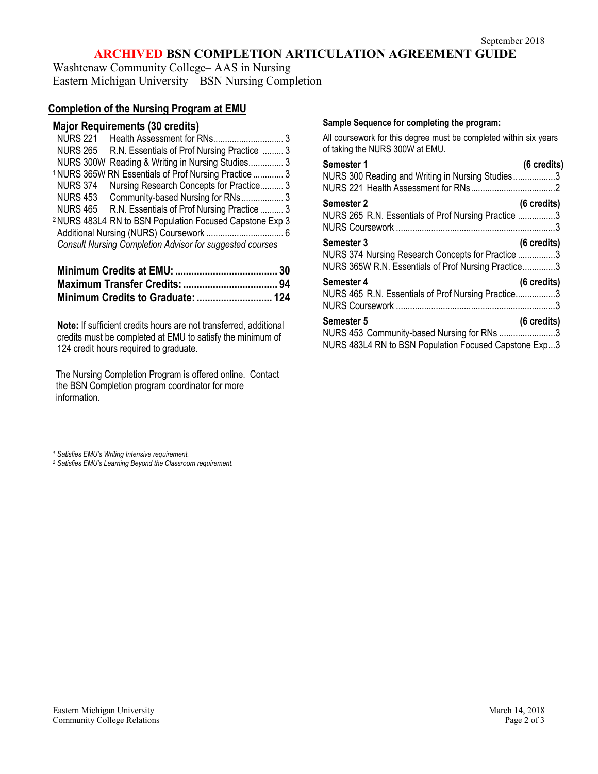# **ARCHIVED BSN COMPLETION ARTICULATION AGREEMENT GUIDE**

Washtenaw Community College– AAS in Nursing Eastern Michigan University – BSN Nursing Completion

## **Completion of the Nursing Program at EMU**

| Major Requirements (30 credits) |  |
|---------------------------------|--|
|---------------------------------|--|

| <b>NURS 221</b> |                                                                     |  |
|-----------------|---------------------------------------------------------------------|--|
|                 | NURS 265 R.N. Essentials of Prof Nursing Practice  3                |  |
|                 | NURS 300W Reading & Writing in Nursing Studies 3                    |  |
|                 | <sup>1</sup> NURS 365W RN Essentials of Prof Nursing Practice  3    |  |
|                 | NURS 374 Nursing Research Concepts for Practice 3                   |  |
|                 | NURS 453 Community-based Nursing for RNs 3                          |  |
|                 | NURS 465 R.N. Essentials of Prof Nursing Practice  3                |  |
|                 | <sup>2</sup> NURS 483L4 RN to BSN Population Focused Capstone Exp 3 |  |
|                 |                                                                     |  |
|                 | <b>Consult Nursing Completion Advisor for suggested courses</b>     |  |

**Note:** If sufficient credits hours are not transferred, additional credits must be completed at EMU to satisfy the minimum of 124 credit hours required to graduate.

The Nursing Completion Program is offered online. Contact the BSN Completion program coordinator for more information.

### **Sample Sequence for completing the program:**

All coursework for this degree must be completed within six years of taking the NURS 300W at EMU.

| Semester 1                                                                                                                    | (6 credits)           |
|-------------------------------------------------------------------------------------------------------------------------------|-----------------------|
| NURS 300 Reading and Writing in Nursing Studies3                                                                              |                       |
| <b>Semester 2</b><br>NURS 265 R.N. Essentials of Prof Nursing Practice 3                                                      | $(6 \text{ credits})$ |
| <b>Semester 3</b><br>NURS 374 Nursing Research Concepts for Practice 3<br>NURS 365W R.N. Essentials of Prof Nursing Practice3 | $(6 \text{ credits})$ |
| Semester 4<br>NURS 465 R.N. Essentials of Prof Nursing Practice3                                                              | $(6 \text{ credits})$ |
| <b>Semester 5</b><br>NURS 453 Community-based Nursing for RNs 3<br>NURS 483L4 RN to BSN Population Focused Capstone Exp3      | (6 credits)           |

*<sup>1</sup> Satisfies EMU's Writing Intensive requirement.*

*<sup>2</sup> Satisfies EMU's Learning Beyond the Classroom requirement.*